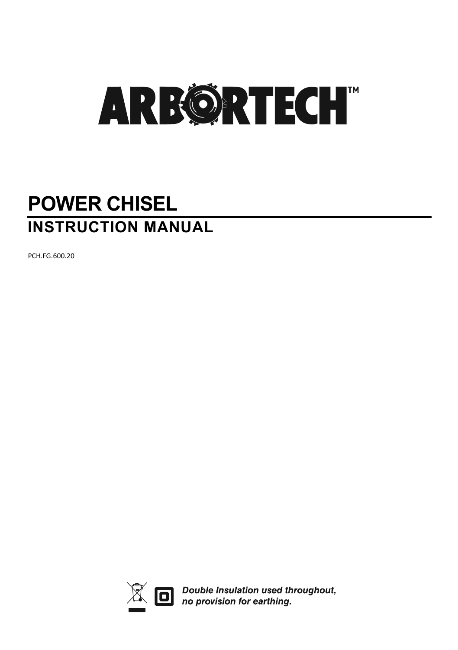# **POWER CHISEL INSTRUCTION MANUAL**

PCH.FG.600.20



 $\overline{\widetilde{\mathbb{R}}}$   $\Box$  Double Insulation used throughout,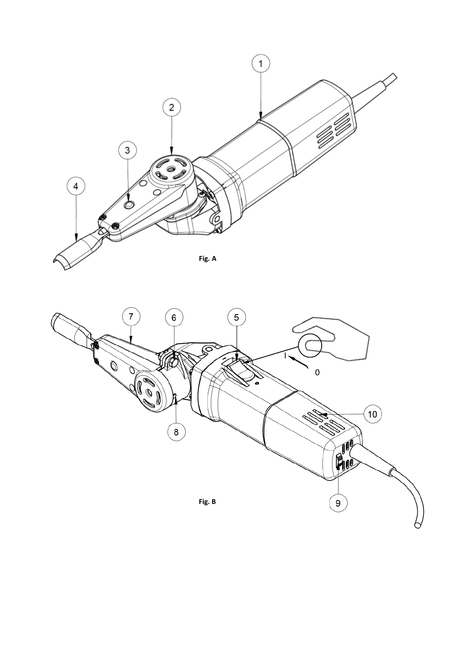

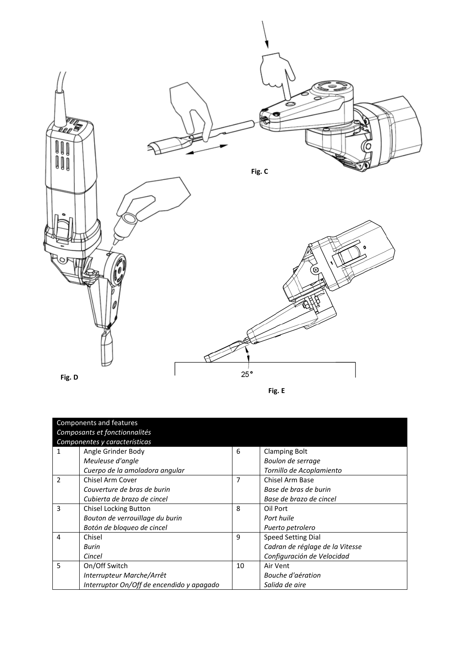

| ۰, |  |
|----|--|
|----|--|

|                               | Components and features<br>Composants et fonctionnalités |                |                                 |
|-------------------------------|----------------------------------------------------------|----------------|---------------------------------|
| Componentes y características |                                                          |                |                                 |
| 1                             | Angle Grinder Body                                       | 6              | <b>Clamping Bolt</b>            |
|                               | Meuleuse d'angle                                         |                | Boulon de serrage               |
|                               | Cuerpo de la amoladora angular                           |                | Tornillo de Acoplamiento        |
| $\mathcal{P}$                 | Chisel Arm Cover                                         | $\overline{7}$ | Chisel Arm Base                 |
|                               | Couverture de bras de burin                              |                | Base de bras de burin           |
|                               | Cubierta de brazo de cincel                              |                | Base de brazo de cincel         |
| 3                             | <b>Chisel Locking Button</b>                             | 8              | Oil Port                        |
|                               | Bouton de verrouillage du burin                          |                | Port huile                      |
|                               | Botón de bloqueo de cincel                               |                | Puerto petrolero                |
| $\overline{a}$                | Chisel                                                   | 9              | <b>Speed Setting Dial</b>       |
|                               | <b>Burin</b>                                             |                | Cadran de réglage de la Vitesse |
|                               | Cincel                                                   |                | Configuración de Velocidad      |
| 5                             | On/Off Switch                                            | 10             | Air Vent                        |
|                               | Interrupteur Marche/Arrêt                                |                | Bouche d'aération               |
|                               | Interruptor On/Off de encendido y apagado                |                | Salida de aire                  |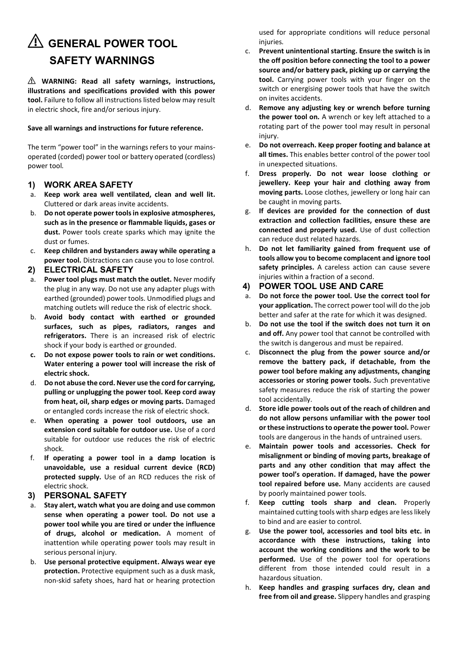## ⚠ **GENERAL POWER TOOL SAFETY WARNINGS**

⚠ **WARNING: Read all safety warnings, instructions, illustrations and specifications provided with this power tool.** Failure to follow all instructions listed below may result in electric shock, fire and/or serious injury.

### **Save all warnings and instructions for future reference.**

The term "power tool" in the warnings refers to your mainsoperated (corded) power tool or battery operated (cordless) power tool*.* 

### **1) WORK AREA SAFETY**

- Keep work area well ventilated, clean and well lit. Cluttered or dark areas invite accidents.
- b. **Do not operate power tools in explosive atmospheres, such as in the presence or flammable liquids, gases or dust.** Power tools create sparks which may ignite the dust or fumes.
- c. **Keep children and bystanders away while operating a power tool.** Distractions can cause you to lose control*.*

### **2) ELECTRICAL SAFETY**

- a. **Power tool plugs must match the outlet.** Never modify the plug in any way. Do not use any adapter plugs with earthed (grounded) power tools. Unmodified plugs and matching outlets will reduce the risk of electric shock.
- b. **Avoid body contact with earthed or grounded surfaces, such as pipes, radiators, ranges and refrigerators.** There is an increased risk of electric shock if your body is earthed or grounded.
- **c. Do not expose power tools to rain or wet conditions. Water entering a power tool will increase the risk of electric shock.**
- d. **Do not abuse the cord. Never use the cord for carrying, pulling or unplugging the power tool. Keep cord away from heat, oil, sharp edges or moving parts.** Damaged or entangled cords increase the risk of electric shock.
- e. **When operating a power tool outdoors, use an extension cord suitable for outdoor use.** Use of a cord suitable for outdoor use reduces the risk of electric shock.
- f. **If operating a power tool in a damp location is unavoidable, use a residual current device (RCD) protected supply.** Use of an RCD reduces the risk of electric shock.

#### **3) PERSONAL SAFETY**

- a. **Stay alert, watch what you are doing and use common sense when operating a power tool. Do not use a power tool while you are tired or under the influence of drugs, alcohol or medication.** A moment of inattention while operating power tools may result in serious personal injury.
- b. **Use personal protective equipment. Always wear eye protection.** Protective equipment such as a dusk mask, non-skid safety shoes, hard hat or hearing protection

used for appropriate conditions will reduce personal injuries*.* 

- c. **Prevent unintentional starting. Ensure the switch is in the off position before connecting the tool to a power source and/or battery pack, picking up or carrying the tool.** Carrying power tools with your finger on the switch or energising power tools that have the switch on invites accidents.
- d. **Remove any adjusting key or wrench before turning the power tool on***.* A wrench or key left attached to a rotating part of the power tool may result in personal injury.
- e. **Do not overreach. Keep proper footing and balance at all times.** This enables better control of the power tool in unexpected situations.
- f. **Dress properly. Do not wear loose clothing or jewellery. Keep your hair and clothing away from moving parts.** Loose clothes, jewellery or long hair can be caught in moving parts.
- g. **If devices are provided for the connection of dust extraction and collection facilities, ensure these are connected and properly used.** Use of dust collection can reduce dust related hazards.
- h. **Do not let familiarity gained from frequent use of tools allow you to become complacent and ignore tool**  safety principles. A careless action can cause severe injuries within a fraction of a second.

### **4) POWER TOOL USE AND CARE**

- a. **Do not force the power tool. Use the correct tool for your application.** The correct power tool will do the job better and safer at the rate for which it was designed.
- b. **Do not use the tool if the switch does not turn it on and off.** Any power tool that cannot be controlled with the switch is dangerous and must be repaired.
- c. **Disconnect the plug from the power source and/or remove the battery pack, if detachable, from the power tool before making any adjustments, changing accessories or storing power tools.** *S*uch preventative safety measures reduce the risk of starting the power tool accidentally.
- d. **Store idle power tools out of the reach of children and do not allow persons unfamiliar with the power tool or these instructions to operate the power tool.** Power tools are dangerous in the hands of untrained users.
- e. **Maintain power tools and accessories. Check for misalignment or binding of moving parts, breakage of parts and any other condition that may affect the power tool's operation. If damaged, have the power tool repaired before use***.* Many accidents are caused by poorly maintained power tools.
- **Keep cutting tools sharp and clean.** Properly maintained cutting tools with sharp edges are less likely to bind and are easier to control.
- g. **Use the power tool, accessories and tool bits etc. in accordance with these instructions, taking into account the working conditions and the work to be performed.** Use of the power tool for operations different from those intended could result in a hazardous situation.
- h. **Keep handles and grasping surfaces dry, clean and free from oil and grease.** Slippery handles and grasping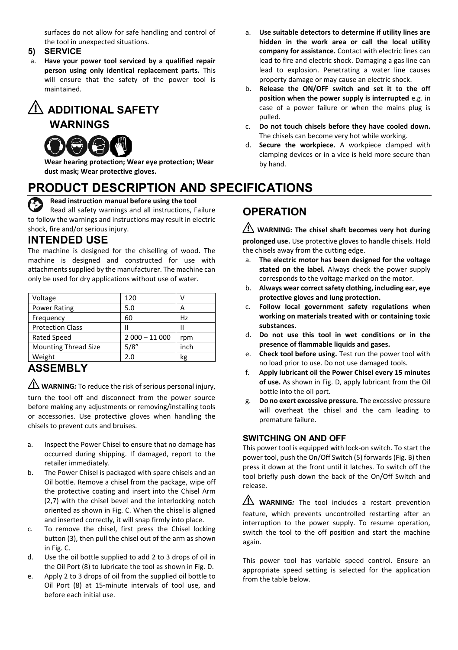surfaces do not allow for safe handling and control of the tool in unexpected situations.

**5) SERVICE** 

a. **Have your power tool serviced by a qualified repair person using only identical replacement parts.** This will ensure that the safety of the power tool is maintained*.*

## ⚠ **ADDITIONAL SAFETY**

**WARNINGS** 



**Wear hearing protection; Wear eye protection; Wear dust mask; Wear protective gloves.** 

## **PRODUCT DESCRIPTION AND SPECIFICATIONS**

**Read instruction manual before using the tool** Read all safety warnings and all instructions, Failure to follow the warnings and instructions may result in electric shock, fire and/or serious injury.

### **INTENDED USE**

The machine is designed for the chiselling of wood. The machine is designed and constructed for use with attachments supplied by the manufacturer. The machine can only be used for dry applications without use of water.

| Voltage                     | 120            |      |
|-----------------------------|----------------|------|
| Power Rating                | 5.0            | А    |
| Frequency                   | 60             | Hz   |
| <b>Protection Class</b>     | Ш              | н    |
| <b>Rated Speed</b>          | $2000 - 11000$ | rpm  |
| <b>Mounting Thread Size</b> | 5/8''          | inch |
| Weight                      | 2.0            | kg   |

## **ASSEMBLY**

⚠ **WARNING***:* To reduce the risk of serious personal injury,

turn the tool off and disconnect from the power source before making any adjustments or removing/installing tools or accessories. Use protective gloves when handling the chisels to prevent cuts and bruises.

- a. Inspect the Power Chisel to ensure that no damage has occurred during shipping. If damaged, report to the retailer immediately.
- b. The Power Chisel is packaged with spare chisels and an Oil bottle. Remove a chisel from the package, wipe off the protective coating and insert into the Chisel Arm (2,7) with the chisel bevel and the interlocking notch oriented as shown in Fig. C. When the chisel is aligned and inserted correctly, it will snap firmly into place.
- c. To remove the chisel, first press the Chisel locking button (3), then pull the chisel out of the arm as shown in Fig. C.
- d. Use the oil bottle supplied to add 2 to 3 drops of oil in the Oil Port (8) to lubricate the tool as shown in Fig. D.
- e. Apply 2 to 3 drops of oil from the supplied oil bottle to Oil Port (8) at 15-minute intervals of tool use, and before each initial use.
- a. **Use suitable detectors to determine if utility lines are hidden in the work area or call the local utility company for assistance.** Contact with electric lines can lead to fire and electric shock. Damaging a gas line can lead to explosion. Penetrating a water line causes property damage or may cause an electric shock.
- b. **Release the ON/OFF switch and set it to the off position when the power supply is interrupted** e.g. in case of a power failure or when the mains plug is pulled.
- c. **Do not touch chisels before they have cooled down.** The chisels can become very hot while working.
- d. **Secure the workpiece.** A workpiece clamped with clamping devices or in a vice is held more secure than by hand.

## **OPERATION**

⚠ **WARNING: The chisel shaft becomes very hot during prolonged use.** Use protective gloves to handle chisels. Hold the chisels away from the cutting edge.

- a. **The electric motor has been designed for the voltage stated on the label***.* Always check the power supply corresponds to the voltage marked on the motor.
- b. **Always wear correct safety clothing, including ear, eye protective gloves and lung protection.**
- c. **Follow local government safety regulations when working on materials treated with or containing toxic substances.**
- d. **Do not use this tool in wet conditions or in the presence of flammable liquids and gases.**
- e. **Check tool before using.** Test run the power tool with no load prior to use. Do not use damaged tools.
- f. **Apply lubricant oil the Power Chisel every 15 minutes of use.** As shown in Fig. D, apply lubricant from the Oil bottle into the oil port.
- g. **Do no exert excessive pressure***.* The excessive pressure will overheat the chisel and the cam leading to premature failure.

### **SWITCHING ON AND OFF**

This power tool is equipped with lock-on switch. To start the power tool, push the On/Off Switch (5) forwards (Fig. B) then press it down at the front until it latches. To switch off the tool briefly push down the back of the On/Off Switch and release.

**WARNING**: The tool includes a restart prevention feature, which prevents uncontrolled restarting after an interruption to the power supply. To resume operation, switch the tool to the off position and start the machine again.

This power tool has variable speed control. Ensure an appropriate speed setting is selected for the application from the table below.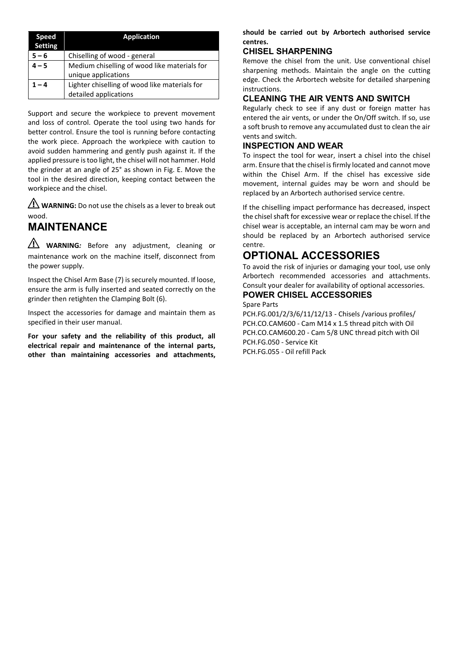| Speed<br>Setting | <b>Application</b>                            |
|------------------|-----------------------------------------------|
| $5 - 6$          | Chiselling of wood - general                  |
| l – 5            | Medium chiselling of wood like materials for  |
|                  | unique applications                           |
| 1 – 4            | Lighter chiselling of wood like materials for |
|                  | detailed applications                         |

Support and secure the workpiece to prevent movement and loss of control. Operate the tool using two hands for better control. Ensure the tool is running before contacting the work piece. Approach the workpiece with caution to avoid sudden hammering and gently push against it. If the applied pressure is too light, the chisel will not hammer. Hold the grinder at an angle of 25° as shown in Fig. E. Move the tool in the desired direction, keeping contact between the workpiece and the chisel.

**WARNING:** Do not use the chisels as a lever to break out wood.

## **MAINTENANCE**

WARNING: Before any adjustment, cleaning or maintenance work on the machine itself, disconnect from the power supply.

Inspect the Chisel Arm Base (7) is securely mounted. If loose, ensure the arm is fully inserted and seated correctly on the grinder then retighten the Clamping Bolt (6).

Inspect the accessories for damage and maintain them as specified in their user manual.

**For your safety and the reliability of this product, all electrical repair and maintenance of the internal parts, other than maintaining accessories and attachments,** 

### **should be carried out by Arbortech authorised service centres.**

### **CHISEL SHARPENING**

Remove the chisel from the unit. Use conventional chisel sharpening methods. Maintain the angle on the cutting edge. Check the Arbortech website for detailed sharpening instructions.

### **CLEANING THE AIR VENTS AND SWITCH**

Regularly check to see if any dust or foreign matter has entered the air vents, or under the On/Off switch. If so, use a soft brush to remove any accumulated dust to clean the air vents and switch.

### **INSPECTION AND WEAR**

To inspect the tool for wear, insert a chisel into the chisel arm. Ensure that the chisel is firmly located and cannot move within the Chisel Arm. If the chisel has excessive side movement, internal guides may be worn and should be replaced by an Arbortech authorised service centre.

If the chiselling impact performance has decreased, inspect the chisel shaft for excessive wear or replace the chisel. If the chisel wear is acceptable, an internal cam may be worn and should be replaced by an Arbortech authorised service centre.

## **OPTIONAL ACCESSORIES**

To avoid the risk of injuries or damaging your tool, use only Arbortech recommended accessories and attachments. Consult your dealer for availability of optional accessories.

#### **POWER CHISEL ACCESSORIES**  Spare Parts

PCH.FG.001/2/3/6/11/12/13 - Chisels /various profiles/ PCH.CO.CAM600 - Cam M14 x 1.5 thread pitch with Oil PCH.CO.CAM600.20 - Cam 5/8 UNC thread pitch with Oil PCH.FG.050 - Service Kit

PCH.FG.055 - Oil refill Pack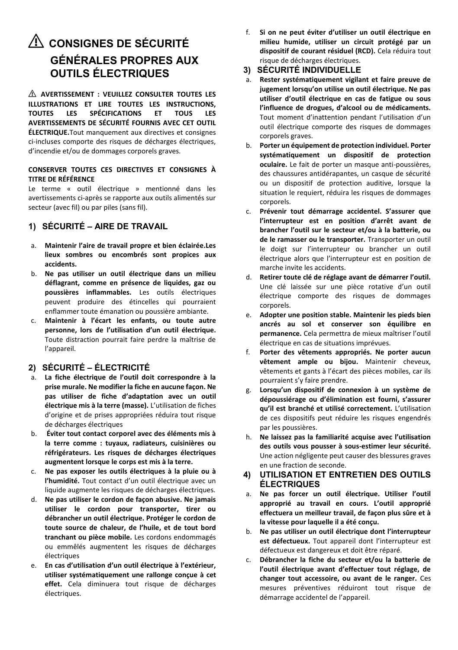## ⚠ **CONSIGNES DE SÉCURITÉ GÉNÉRALES PROPRES AUX OUTILS ÉLECTRIQUES**

⚠ **AVERTISSEMENT : VEUILLEZ CONSULTER TOUTES LES ILLUSTRATIONS ET LIRE TOUTES LES INSTRUCTIONS, SPÉCIFICATIONS AVERTISSEMENTS DE SÉCURITÉ FOURNIS AVEC CET OUTIL ÉLECTRIQUE.**Tout manquement aux directives et consignes ci-incluses comporte des risques de décharges électriques, d'incendie et/ou de dommages corporels graves.

#### **CONSERVER TOUTES CES DIRECTIVES ET CONSIGNES À TITRE DE RÉFÉRENCE**

Le terme « outil électrique » mentionné dans les avertissements ci-après se rapporte aux outils alimentés sur secteur (avec fil) ou par piles (sans fil).

### **1) SÉCURITÉ – AIRE DE TRAVAIL**

- a. **Maintenir l'aire de travail propre et bien éclairée.Les lieux sombres ou encombrés sont propices aux accidents.**
- b. **Ne pas utiliser un outil électrique dans un milieu déflagrant, comme en présence de liquides, gaz ou poussières inflammables.** Les outils électriques peuvent produire des étincelles qui pourraient enflammer toute émanation ou poussière ambiante.
- c. **Maintenir à l'écart les enfants, ou toute autre personne, lors de l'utilisation d'un outil électrique.**  Toute distraction pourrait faire perdre la maîtrise de l'appareil.

### **2) SÉCURITÉ – ÉLECTRICITÉ**

- a. **La fiche électrique de l'outil doit correspondre à la prise murale. Ne modifier la fiche en aucune façon. Ne pas utiliser de fiche d'adaptation avec un outil électrique mis à la terre (masse).** L'utilisation de fiches d'origine et de prises appropriées réduira tout risque de décharges électriques
- b. **Éviter tout contact corporel avec des éléments mis à la terre comme : tuyaux, radiateurs, cuisinières ou réfrigérateurs. Les risques de décharges électriques augmentent lorsque le corps est mis à la terre.**
- c. **Ne pas exposer les outils électriques à la pluie ou à l'humidité.** Tout contact d'un outil électrique avec un liquide augmente les risques de décharges électriques.
- d. **Ne pas utiliser le cordon de façon abusive. Ne jamais utiliser le cordon pour transporter, tirer ou débrancher un outil électrique. Protéger le cordon de toute source de chaleur, de l'huile, et de tout bord tranchant ou pièce mobile.** Les cordons endommagés ou emmêlés augmentent les risques de décharges électriques
- e. **En cas d'utilisation d'un outil électrique à l'extérieur, utiliser systématiquement une rallonge conçue à cet effet.** Cela diminuera tout risque de décharges électriques.

f. **Si on ne peut éviter d'utiliser un outil électrique en milieu humide, utiliser un circuit protégé par un dispositif de courant résiduel (RCD).** Cela réduira tout risque de décharges électriques.

### **3) SÉCURITÉ INDIVIDUELLE**

- a. **Rester systématiquement vigilant et faire preuve de jugement lorsqu'on utilise un outil électrique. Ne pas utiliser d'outil électrique en cas de fatigue ou sous l'influence de drogues, d'alcool ou de médicaments.**  Tout moment d'inattention pendant l'utilisation d'un outil électrique comporte des risques de dommages corporels graves.
- b. **Porter un équipement de protection individuel. Porter systématiquement un dispositif de protection oculaire.** Le fait de porter un masque anti-poussières, des chaussures antidérapantes, un casque de sécurité ou un dispositif de protection auditive, lorsque la situation le requiert, réduira les risques de dommages corporels.
- c. **Prévenir tout démarrage accidentel. S'assurer que l'interrupteur est en position d'arrêt avant de brancher l'outil sur le secteur et/ou à la batterie, ou de le ramasser ou le transporter.** Transporter un outil le doigt sur l'interrupteur ou brancher un outil électrique alors que l'interrupteur est en position de marche invite les accidents.
- d. **Retirer toute clé de réglage avant de démarrer l'outil.**  Une clé laissée sur une pièce rotative d'un outil électrique comporte des risques de dommages corporels.
- e. **Adopter une position stable. Maintenir les pieds bien ancrés au sol et conserver son équilibre en permanence.** Cela permettra de mieux maîtriser l'outil électrique en cas de situations imprévues.
- f. **Porter des vêtements appropriés. Ne porter aucun vêtement ample ou bijou.** Maintenir cheveux, vêtements et gants à l'écart des pièces mobiles, car ils pourraient s'y faire prendre.
- g. **Lorsqu'un dispositif de connexion à un système de dépoussiérage ou d'élimination est fourni, s'assurer qu'il est branché et utilisé correctement.** L'utilisation de ces dispositifs peut réduire les risques engendrés par les poussières.
- h. **Ne laissez pas la familiarité acquise avec l'utilisation des outils vous pousser à sous-estimer leur sécurité.**  Une action négligente peut causer des blessures graves en une fraction de seconde.

### **4) UTILISATION ET ENTRETIEN DES OUTILS ÉLECTRIQUES**

- a. **Ne pas forcer un outil électrique. Utiliser l'outil approprié au travail en cours. L'outil approprié effectuera un meilleur travail, de façon plus sûre et à la vitesse pour laquelle il a été conçu.**
- b. **Ne pas utiliser un outil électrique dont l'interrupteur**  est défectueux. Tout appareil dont l'interrupteur est défectueux est dangereux et doit être réparé.
- c. **Débrancher la fiche du secteur et/ou la batterie de l'outil électrique avant d'effectuer tout réglage, de changer tout accessoire, ou avant de le ranger.** Ces mesures préventives réduiront tout risque de démarrage accidentel de l'appareil.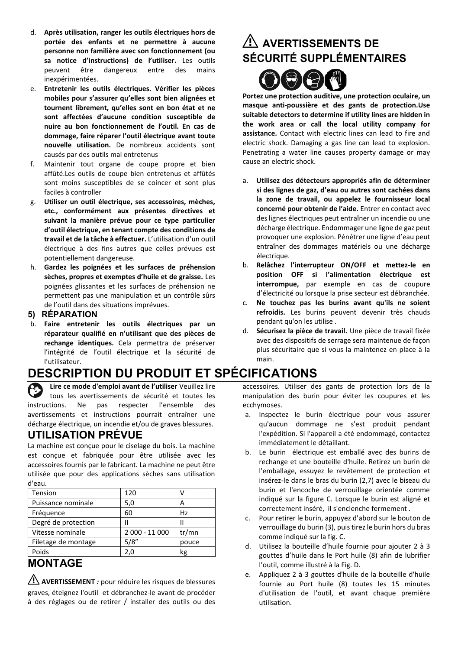- d. **Après utilisation, ranger les outils électriques hors de portée des enfants et ne permettre à aucune personne non familière avec son fonctionnement (ou sa notice d'instructions) de l'utiliser.** Les outils peuvent être dangereux entre des mains inexpérimentées.
- e. **Entretenir les outils électriques. Vérifier les pièces mobiles pour s'assurer qu'elles sont bien alignées et tournent librement, qu'elles sont en bon état et ne sont affectées d'aucune condition susceptible de nuire au bon fonctionnement de l'outil. En cas de dommage, faire réparer l'outil électrique avant toute nouvelle utilisation.** De nombreux accidents sont causés par des outils mal entretenus
- f. Maintenir tout organe de coupe propre et bien affûté.Les outils de coupe bien entretenus et affûtés sont moins susceptibles de se coincer et sont plus faciles à controller
- g. **Utiliser un outil électrique, ses accessoires, mèches, etc., conformément aux présentes directives et suivant la manière prévue pour ce type particulier d'outil électrique, en tenant compte des conditions de travail et de la tâche à effectuer.** L'utilisation d'un outil électrique à des fins autres que celles prévues est potentiellement dangereuse.
- h. **Gardez les poignées et les surfaces de préhension sèches, propres et exemptes d'huile et de graisse.** Les poignées glissantes et les surfaces de préhension ne permettent pas une manipulation et un contrôle sûrs de l'outil dans des situations imprévues.

### **5) RÉPARATION**

b. **Faire entretenir les outils électriques par un réparateur qualifié en n'utilisant que des pièces de rechange identiques.** Cela permettra de préserver l'intégrité de l'outil électrique et la sécurité de l'utilisateur.

## **DESCRIPTION DU PRODUIT ET SPÉCIFICATIONS**

**Lire ce mode d'emploi avant de l'utiliser** Veuillez lire tous les avertissements de sécurité et toutes les<br>tions. Ne pas respecter l'ensemble des instructions. Ne pas respecter l'ensemble des avertissements et instructions pourrait entraîner une décharge électrique, un incendie et/ou de graves blessures.

### **UTILISATION PRÉVUE**

La machine est conçue pour le ciselage du bois. La machine est conçue et fabriquée pour être utilisée avec les accessoires fournis par le fabricant. La machine ne peut être utilisée que pour des applications sèches sans utilisation d'eau.

| Tension             | 120            | v     |
|---------------------|----------------|-------|
| Puissance nominale  | 5,0            | А     |
| Fréquence           | 60             | Hz    |
| Degré de protection | н              | н     |
| Vitesse nominale    | 2 000 - 11 000 | tr/mn |
| Filetage de montage | 5/8''          | pouce |
| Poids               | 2,0            | kg    |

## **MONTAGE**

⚠**AVERTISSEMENT** *:* pour réduire les risques de blessures graves, éteignez l'outil et débranchez-le avant de procéder à des réglages ou de retirer / installer des outils ou des

## ⚠ **AVERTISSEMENTS DE SÉCURITÉ SUPPLÉMENTAIRES**



**Portez une protection auditive, une protection oculaire, un masque anti-poussière et des gants de protection.Use suitable detectors to determine if utility lines are hidden in the work area or call the local utility company for assistance.** Contact with electric lines can lead to fire and electric shock. Damaging a gas line can lead to explosion. Penetrating a water line causes property damage or may cause an electric shock.

- a. **Utilisez des détecteurs appropriés afin de déterminer si des lignes de gaz, d'eau ou autres sont cachées dans la zone de travail, ou appelez le fournisseur local concerné pour obtenir de l'aide.** Entrer en contact avec des lignes électriques peut entraîner un incendie ou une décharge électrique. Endommager une ligne de gaz peut provoquer une explosion. Pénétrer une ligne d'eau peut entraîner des dommages matériels ou une décharge électrique.
- b. **Relâchez l'interrupteur ON/OFF et mettez-le en position OFF si l'alimentation électrique est interrompue,** par exemple en cas de coupure d'électricité ou lorsque la prise secteur est débranchée.
- c. **Ne touchez pas les burins avant qu'ils ne soient refroidis.** Les burins peuvent devenir très chauds pendant qu'on les utilise .
- d. **Sécurisez la pièce de travail.** Une pièce de travail fixée avec des dispositifs de serrage sera maintenue de façon plus sécuritaire que si vous la maintenez en place à la main.

accessoires. Utiliser des gants de protection lors de la manipulation des burin pour éviter les coupures et les ecchymoses.

- a. Inspectez le burin électrique pour vous assurer qu'aucun dommage ne s'est produit pendant l'expédition. Si l'appareil a été endommagé, contactez immédiatement le détaillant.
- b. Le burin électrique est emballé avec des burins de rechange et une bouteille d'huile. Retirez un burin de l'emballage, essuyez le revêtement de protection et insérez-le dans le bras du burin (2,7) avec le biseau du burin et l'encoche de verrouillage orientée comme indiqué sur la figure C. Lorsque le burin est aligné et correctement inséré, il s'enclenche fermement .
- c. Pour retirer le burin, appuyez d'abord sur le bouton de verrouillage du burin (3), puis tirez le burin hors du bras comme indiqué sur la fig. C.
- d. Utilisez la bouteille d'huile fournie pour ajouter 2 à 3 gouttes d'huile dans le Port huile (8) afin de lubrifier l'outil, comme illustré à la Fig. D.
- e. Appliquez 2 à 3 gouttes d'huile de la bouteille d'huile fournie au Port huile (8) toutes les 15 minutes d'utilisation de l'outil, et avant chaque première utilisation.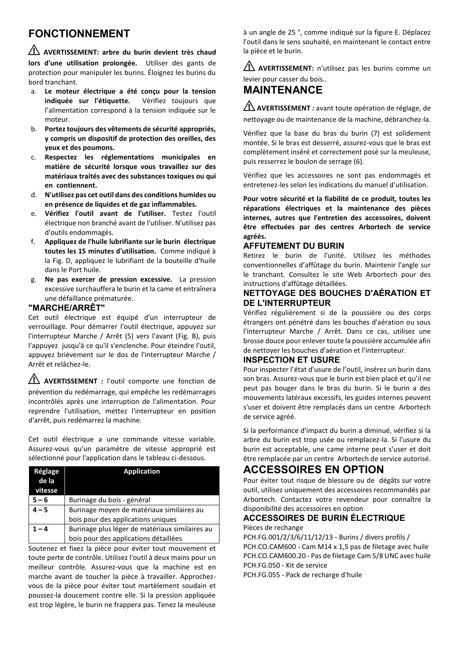## **FONCTIONNEMENT**

⚠ **AVERTISSEMENT: arbre du burin devient très chaud lors d'une utilisation prolongée.** Utiliser des gants de protection pour manipuler les burins. Éloignez les burins du bord tranchant.

- a. **Le moteur électrique a été conçu pour la tension indiquée sur l'étiquette***.* Vérifiez toujours que l'alimentation correspond à la tension indiquée sur le moteur.
- b. **Portez toujours des vêtements de sécurité appropriés, y compris un dispositif de protection des oreilles, des yeux et des poumons.**
- c. **Respectez les réglementations municipales en matière de sécurité lorsque vous travaillez sur des matériaux traités avec des substances toxiques ou qui en contiennent.**
- d. **N'utilisez pas cet outil dans des conditions humides ou en présence de liquides et de gaz inflammables.**
- e. **Vérifiez l'outil avant de l'utiliser.** Testez l'outil électrique non branché avant de l'utiliser. N'utilisez pas d'outils endommagés.
- f. **Appliquez de l'huile lubrifiante sur le burin électrique toutes les 15 minutes d'utilisation.** Comme indiqué à la Fig. D, appliquez le lubrifiant de la bouteille d'huile dans le Port huile.
- g. **Ne pas exercer de pression excessive***.* La pression excessive surchauffera le burin et la came et entraînera une défaillance prématurée.

### **"MARCHE/ARRÊT"**

Cet outil électrique est équipé d'un interrupteur de verrouillage. Pour démarrer l'outil électrique, appuyez sur l'interrupteur Marche / Arrêt (5) vers l'avant (Fig. B), puis l'appuyez jusqu'à ce qu'il s'enclenche. Pour éteindre l'outil, appuyez brièvement sur le dos de l'interrupteur Marche / Arrêt et relâchez-le.

⚠ **AVERTISSEMENT** *:* l'outil comporte une fonction de prévention du redémarrage, qui empêche les redémarrages incontrôlés après une interruption de l'alimentation. Pour reprendre l'utilisation, mettez l'interrupteur en position d'arrêt, puis redémarrez la machine.

Cet outil électrique a une commande vitesse variable. Assurez-vous qu'un paramètre de vitesse approprié est sélectionné pour l'application dans le tableau ci-dessous.

| Réglage<br>de la<br>vitesse | <b>Application</b>                             |
|-----------------------------|------------------------------------------------|
| $5 - 6$                     | Burinage du bois - général                     |
| $4 - 5$                     | Burinage moyen de matériaux similaires au      |
|                             | bois pour des applications uniques             |
|                             | Burinage plus léger de matériaux similaires au |
|                             | bois pour des applications détaillées          |

Soutenez et fixez la pièce pour éviter tout mouvement et toute perte de contrôle. Utilisez l'outil à deux mains pour un meilleur contrôle. Assurez-vous que la machine est en marche avant de toucher la pièce à travailler. Approchezvous de la pièce pour éviter tout martèlement soudain et poussez-la doucement contre elle. Si la pression appliquée est trop légère, le burin ne frappera pas. Tenez la meuleuse

à un angle de 25 °, comme indiqué sur la figure E. Déplacez l'outil dans le sens souhaité, en maintenant le contact entre la pièce et le burin.

⚠ **AVERTISSEMENT:** n'utilisez pas les burins comme un levier pour casser du bois..

## **MAINTENANCE**

⚠**AVERTISSEMENT** *:* avant toute opération de réglage, de nettoyage ou de maintenance de la machine, débranchez-la.

Vérifiez que la base du bras du burin (7) est solidement montée. Si le bras est desserré, assurez-vous que le bras est complètement inséré et correctement posé sur la meuleuse, puis resserrez le boulon de serrage (6).

Vérifiez que les accessoires ne sont pas endommagés et entretenez-les selon les indications du manuel d'utilisation.

**Pour votre sécurité et la fiabilité de ce produit, toutes les réparations électriques et la maintenance des pièces internes, autres que l'entretien des accessoires, doivent être effectuées par des centres Arbortech de service agréés.** 

### **AFFUTEMENT DU BURIN**

Retirez le burin de l'unité. Utilisez les méthodes conventionnelles d'affûtage du burin. Maintenir l'angle sur le tranchant. Consultez le site Web Arbortech pour des instructions d'affûtage détaillées.

### **NETTOYAGE DES BOUCHES D'AÉRATION ET DE L'INTERRUPTEUR**

Vérifiez régulièrement si de la poussière ou des corps étrangers ont pénétré dans les bouches d'aération ou sous l'interrupteur Marche / Arrêt. Dans ce cas, utilisez une brosse douce pour enlever toute la poussière accumulée afin de nettoyer les bouches d'aération et l'interrupteur.

### **INSPECTION ET USURE**

Pour inspecter l'état d'usure de l'outil, insérez un burin dans son bras. Assurez-vous que le burin est bien placé et qu'il ne peut pas bouger dans le bras du burin. Si le burin a des mouvements latéraux excessifs, les guides internes peuvent s'user et doivent être remplacés dans un centre Arbortech de service agréé.

Si la performance d'impact du burin a diminué, vérifiez si la arbre du burin est trop usée ou remplacez-la. Si l'usure du burin est acceptable, une came interne peut s'user et doit être remplacée par un centre Arbortech de service autorisé.

### **ACCESSOIRES EN OPTION**

Pour éviter tout risque de blessure ou de dégâts sur votre outil, utilisez uniquement des accessoires recommandés par Arbortech. Contactez votre revendeur pour connaître la disponibilité des accessoires en option

## **ACCESSOIRES DE BURIN ÉLECTRIQUE**

Pièces de rechange PCH.FG.001/2/3/6/11/12/13 - Burins / divers profils /

PCH.CO.CAM600 - Cam M14 x 1,5 pas de filetage avec huile PCH.CO.CAM600.20 - Pas de filetage Cam 5/8 UNC avec huile PCH.FG.050 - Kit de service

PCH.FG.055 - Pack de recharge d'huile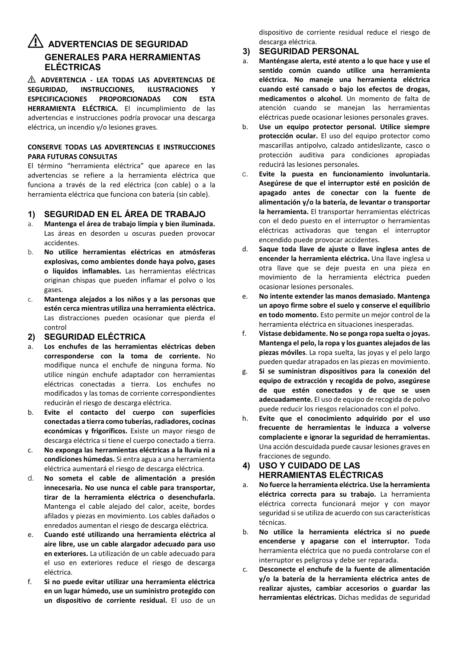### ⚠ **ADVERTENCIAS DE SEGURIDAD GENERALES PARA HERRAMIENTAS ELÉCTRICAS**

⚠ **ADVERTENCIA - LEA TODAS LAS ADVERTENCIAS DE INSTRUCCIONES. ESPECIFICACIONES PROPORCIONADAS CON ESTA HERRAMIENTA ELÉCTRICA.** El incumplimiento de las advertencias e instrucciones podría provocar una descarga eléctrica, un incendio y/o lesiones graves.

#### **CONSERVE TODAS LAS ADVERTENCIAS E INSTRUCCIONES PARA FUTURAS CONSULTAS**

El término "herramienta eléctrica" que aparece en las advertencias se refiere a la herramienta eléctrica que funciona a través de la red eléctrica (con cable) o a la herramienta eléctrica que funciona con batería (sin cable).

### **1) SEGURIDAD EN EL ÁREA DE TRABAJO**

- a. **Mantenga el área de trabajo limpia y bien iluminada.** Las áreas en desorden u oscuras pueden provocar accidentes.
- b. **No utilice herramientas eléctricas en atmósferas explosivas, como ambientes donde haya polvo, gases o líquidos inflamables.** Las herramientas eléctricas originan chispas que pueden inflamar el polvo o los gases.
- c. **Mantenga alejados a los niños y a las personas que estén cerca mientras utiliza una herramienta eléctrica.** Las distracciones pueden ocasionar que pierda el control

### **2) SEGURIDAD ELÉCTRICA**

- a. **Los enchufes de las herramientas eléctricas deben corresponderse con la toma de corriente.** No modifique nunca el enchufe de ninguna forma. No utilice ningún enchufe adaptador con herramientas eléctricas conectadas a tierra. Los enchufes no modificados y las tomas de corriente correspondientes reducirán el riesgo de descarga eléctrica.
- b. **Evite el contacto del cuerpo con superficies conectadas a tierra como tuberías, radiadores, cocinas económicas y frigoríficos.** Existe un mayor riesgo de descarga eléctrica si tiene el cuerpo conectado a tierra.
- c. **No exponga las herramientas eléctricas a la lluvia ni a condiciones húmedas.** Si entra agua a una herramienta eléctrica aumentará el riesgo de descarga eléctrica.
- d. **No someta el cable de alimentación a presión innecesaria. No use nunca el cable para transportar, tirar de la herramienta eléctrica o desenchufarla.**  Mantenga el cable alejado del calor, aceite, bordes afilados y piezas en movimiento. Los cables dañados o enredados aumentan el riesgo de descarga eléctrica.
- e. **Cuando esté utilizando una herramienta eléctrica al aire libre, use un cable alargador adecuado para uso en exteriores.** La utilización de un cable adecuado para el uso en exteriores reduce el riesgo de descarga eléctrica.
- f. **Si no puede evitar utilizar una herramienta eléctrica en un lugar húmedo, use un suministro protegido con un dispositivo de corriente residual.** El uso de un

dispositivo de corriente residual reduce el riesgo de descarga eléctrica.

#### **3) SEGURIDAD PERSONAL**

- a. **Manténgase alerta, esté atento a lo que hace y use el sentido común cuando utilice una herramienta eléctrica. No maneje una herramienta eléctrica cuando esté cansado o bajo los efectos de drogas, medicamentos o alcohol**. Un momento de falta de atención cuando se manejan las herramientas eléctricas puede ocasionar lesiones personales graves.
- b. **Use un equipo protector personal. Utilice siempre protección ocular.** El uso del equipo protector como mascarillas antipolvo, calzado antideslizante, casco o protección auditiva para condiciones apropiadas reducirá las lesiones personales.
- c. **Evite la puesta en funcionamiento involuntaria. Asegúrese de que el interruptor esté en posición de apagado antes de conectar con la fuente de alimentación y/o la batería, de levantar o transportar la herramienta.** El transportar herramientas eléctricas con el dedo puesto en el interruptor o herramientas eléctricas activadoras que tengan el interruptor encendido puede provocar accidentes.
- d. **Saque toda llave de ajuste o llave inglesa antes de encender la herramienta eléctrica.** Una llave inglesa u otra llave que se deje puesta en una pieza en movimiento de la herramienta eléctrica pueden ocasionar lesiones personales.
- e. **No intente extender las manos demasiado. Mantenga un apoyo firme sobre el suelo y conserve el equilibrio en todo momento.** Esto permite un mejor control de la herramienta eléctrica en situaciones inesperadas.
- f. **Vístase debidamente. No se ponga ropa suelta o joyas. Mantenga el pelo, la ropa y los guantes alejados de las piezas móviles**. La ropa suelta, las joyas y el pelo largo pueden quedar atrapados en las piezas en movimiento.
- g. **Si se suministran dispositivos para la conexión del equipo de extracción y recogida de polvo, asegúrese de que estén conectados y de que se usen adecuadamente.** El uso de equipo de recogida de polvo puede reducir los riesgos relacionados con el polvo.
- h. **Evite que el conocimiento adquirido por el uso frecuente de herramientas le induzca a volverse complaciente e ignorar la seguridad de herramientas.** Una acción descuidada puede causar lesiones graves en fracciones de segundo.

### **4) USO Y CUIDADO DE LAS HERRAMIENTAS ELÉCTRICAS**

- a. **No fuerce la herramienta eléctrica. Use la herramienta eléctrica correcta para su trabajo.** La herramienta eléctrica correcta funcionará mejor y con mayor seguridad si se utiliza de acuerdo con sus características técnicas.
- b. **No utilice la herramienta eléctrica si no puede encenderse y apagarse con el interruptor.** Toda herramienta eléctrica que no pueda controlarse con el interruptor es peligrosa y debe ser reparada.
- c. **Desconecte el enchufe de la fuente de alimentación y/o la batería de la herramienta eléctrica antes de realizar ajustes, cambiar accesorios o guardar las herramientas eléctricas.** Dichas medidas de seguridad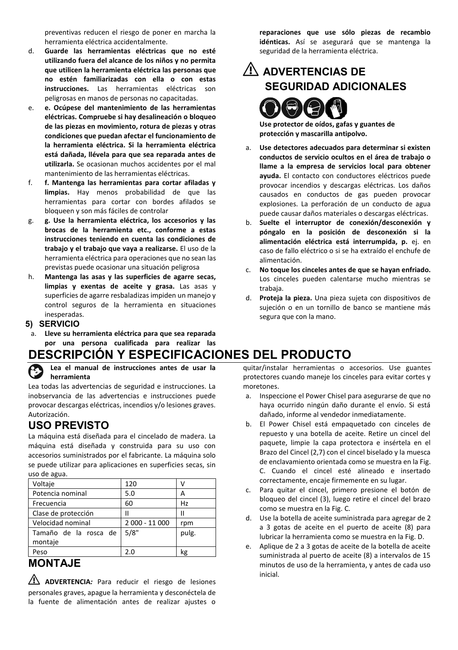preventivas reducen el riesgo de poner en marcha la herramienta eléctrica accidentalmente.

- d. **Guarde las herramientas eléctricas que no esté utilizando fuera del alcance de los niños y no permita que utilicen la herramienta eléctrica las personas que no estén familiarizadas con ella o con estas instrucciones.** Las herramientas eléctricas son peligrosas en manos de personas no capacitadas.
- e. **e. Ocúpese del mantenimiento de las herramientas eléctricas. Compruebe si hay desalineación o bloqueo de las piezas en movimiento, rotura de piezas y otras condiciones que puedan afectar el funcionamiento de la herramienta eléctrica. Si la herramienta eléctrica está dañada, llévela para que sea reparada antes de utilizarla.** Se ocasionan muchos accidentes por el mal mantenimiento de las herramientas eléctricas.
- f. **f. Mantenga las herramientas para cortar afiladas y limpias.** Hay menos probabilidad de que las herramientas para cortar con bordes afilados se bloqueen y son más fáciles de controlar
- g. **g. Use la herramienta eléctrica, los accesorios y las brocas de la herramienta etc., conforme a estas instrucciones teniendo en cuenta las condiciones de trabajo y el trabajo que vaya a realizarse.** El uso de la herramienta eléctrica para operaciones que no sean las previstas puede ocasionar una situación peligrosa
- h. **Mantenga las asas y las superficies de agarre secas, limpias y exentas de aceite y grasa.** Las asas y superficies de agarre resbaladizas impiden un manejo y control seguros de la herramienta en situaciones inesperadas.
- **5) SERVICIO**
- a. **Lleve su herramienta eléctrica para que sea reparada por una persona cualificada para realizar las**

## **DESCRIPCIÓN Y ESPECIFICACIONES DEL PRODUCTO**

**Lea el manual de instrucciones antes de usar la herramienta**

Lea todas las advertencias de seguridad e instrucciones. La inobservancia de las advertencias e instrucciones puede provocar descargas eléctricas, incendios y/o lesiones graves. Autorización.

### **USO PREVISTO**

La máquina está diseñada para el cincelado de madera. La máquina está diseñada y construida para su uso con accesorios suministrados por el fabricante. La máquina solo se puede utilizar para aplicaciones en superficies secas, sin uso de agua.

| Voltaje                          | 120            |       |
|----------------------------------|----------------|-------|
| Potencia nominal                 | 5.0            | А     |
| Frecuencia                       | 60             | Hz    |
| Clase de protección              | н              | Ш     |
| Velocidad nominal                | 2 000 - 11 000 | rpm   |
| Tamaño de la rosca de<br>montaje | 5/8"           | pulg. |
| Peso                             | ን በ            | kg    |

## **MONTA IF**

⚠ **ADVERTENCIA***:* Para reducir el riesgo de lesiones personales graves, apague la herramienta y desconéctela de la fuente de alimentación antes de realizar ajustes o **reparaciones que use sólo piezas de recambio idénticas.** Así se asegurará que se mantenga la seguridad de la herramienta eléctrica.

## ⚠ **ADVERTENCIAS DE SEGURIDAD ADICIONALES**



**Use protector de oídos, gafas y guantes de protección y mascarilla antipolvo.** 

- a. **Use detectores adecuados para determinar si existen conductos de servicio ocultos en el área de trabajo o llame a la empresa de servicios local para obtener ayuda.** El contacto con conductores eléctricos puede provocar incendios y descargas eléctricas. Los daños causados en conductos de gas pueden provocar explosiones. La perforación de un conducto de agua puede causar daños materiales o descargas eléctricas.
- b. **Suelte el interruptor de conexión/desconexión y póngalo en la posición de desconexión si la alimentación eléctrica está interrumpida, p.** ej. en caso de fallo eléctrico o si se ha extraído el enchufe de alimentación.
- c. **No toque los cinceles antes de que se hayan enfriado.**  Los cinceles pueden calentarse mucho mientras se trabaja.
- d. **Proteja la pieza.** Una pieza sujeta con dispositivos de sujeción o en un tornillo de banco se mantiene más segura que con la mano.

quitar/instalar herramientas o accesorios. Use guantes protectores cuando maneje los cinceles para evitar cortes y moretones.

- Inspeccione el Power Chisel para asegurarse de que no haya ocurrido ningún daño durante el envío. Si está dañado, informe al vendedor inmediatamente.
- b. El Power Chisel está empaquetado con cinceles de repuesto y una botella de aceite. Retire un cincel del paquete, limpie la capa protectora e insértela en el Brazo del Cincel (2,7) con el cincel biselado y la muesca de enclavamiento orientada como se muestra en la Fig. C. Cuando el cincel esté alineado e insertado correctamente, encaje firmemente en su lugar.
- c. Para quitar el cincel, primero presione el botón de bloqueo del cincel (3), luego retire el cincel del brazo como se muestra en la Fig. C.
- d. Use la botella de aceite suministrada para agregar de 2 a 3 gotas de aceite en el puerto de aceite (8) para lubricar la herramienta como se muestra en la Fig. D.
- e. Aplique de 2 a 3 gotas de aceite de la botella de aceite suministrada al puerto de aceite (8) a intervalos de 15 minutos de uso de la herramienta, y antes de cada uso inicial.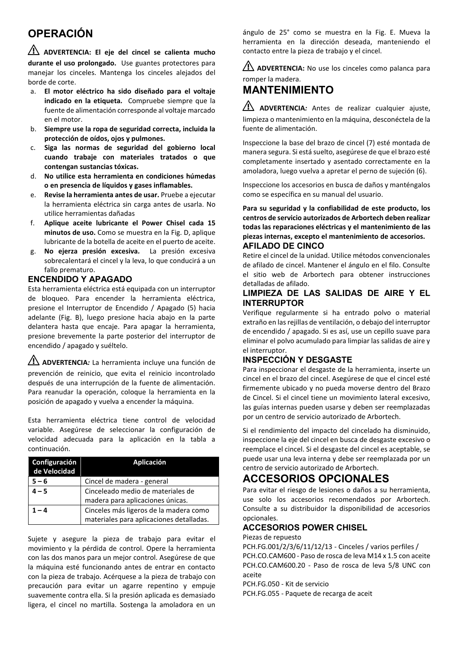## **OPERACIÓN**

⚠ **ADVERTENCIA: El eje del cincel se calienta mucho durante el uso prolongado.** Use guantes protectores para manejar los cinceles. Mantenga los cinceles alejados del borde de corte.

- a. **El motor eléctrico ha sido diseñado para el voltaje indicado en la etiqueta***.* Compruebe siempre que la fuente de alimentación corresponde al voltaje marcado en el motor.
- b. **Siempre use la ropa de seguridad correcta, incluida la protección de oídos, ojos y pulmones.**
- c. **Siga las normas de seguridad del gobierno local cuando trabaje con materiales tratados o que contengan sustancias tóxicas.**
- d. **No utilice esta herramienta en condiciones húmedas o en presencia de líquidos y gases inflamables.**
- e. **Revise la herramienta antes de usar.** Pruebe a ejecutar la herramienta eléctrica sin carga antes de usarla. No utilice herramientas dañadas
- f. **Aplique aceite lubricante el Power Chisel cada 15 minutos de uso.** Como se muestra en la Fig. D, aplique lubricante de la botella de aceite en el puerto de aceite.
- g. **No ejerza presión excesiva***.* La presión excesiva sobrecalentará el cincel y la leva, lo que conducirá a un fallo prematuro.

### **ENCENDIDO Y APAGADO**

Esta herramienta eléctrica está equipada con un interruptor de bloqueo. Para encender la herramienta eléctrica, presione el Interruptor de Encendido / Apagado (5) hacia adelante (Fig. B), luego presione hacia abajo en la parte delantera hasta que encaje. Para apagar la herramienta, presione brevemente la parte posterior del interruptor de encendido / apagado y suéltelo.

⚠ **ADVERTENCIA***:* La herramienta incluye una función de prevención de reinicio, que evita el reinicio incontrolado después de una interrupción de la fuente de alimentación. Para reanudar la operación, coloque la herramienta en la posición de apagado y vuelva a encender la máquina.

Esta herramienta eléctrica tiene control de velocidad variable. Asegúrese de seleccionar la configuración de velocidad adecuada para la aplicación en la tabla a continuación.

| Configuración<br>de Velocidad | Aplicación                               |
|-------------------------------|------------------------------------------|
| $5 - 6$                       | Cincel de madera - general               |
| $4 - 5$                       | Cinceleado medio de materiales de        |
|                               | madera para aplicaciones únicas.         |
| $1 - 4$                       | Cinceles más ligeros de la madera como   |
|                               | materiales para aplicaciones detalladas. |

Sujete y asegure la pieza de trabajo para evitar el movimiento y la pérdida de control. Opere la herramienta con las dos manos para un mejor control. Asegúrese de que la máquina esté funcionando antes de entrar en contacto con la pieza de trabajo. Acérquese a la pieza de trabajo con precaución para evitar un agarre repentino y empuje suavemente contra ella. Si la presión aplicada es demasiado ligera, el cincel no martilla. Sostenga la amoladora en un ángulo de 25° como se muestra en la Fig. E. Mueva la herramienta en la dirección deseada, manteniendo el contacto entre la pieza de trabajo y el cincel.

AN ADVERTENCIA: No use los cinceles como palanca para

### romper la madera. **MANTENIMIENTO**

⚠ **ADVERTENCIA***:* Antes de realizar cualquier ajuste, limpieza o mantenimiento en la máquina, desconéctela de la fuente de alimentación.

Inspeccione la base del brazo de cincel (7) esté montada de manera segura. Si está suelto, asegúrese de que el brazo esté completamente insertado y asentado correctamente en la amoladora, luego vuelva a apretar el perno de sujeción (6).

Inspeccione los accesorios en busca de daños y manténgalos como se específica en su manual del usuario.

**Para su seguridad y la confiabilidad de este producto, los centros de servicio autorizados de Arbortech deben realizar todas las reparaciones eléctricas y el mantenimiento de las piezas internas, excepto el mantenimiento de accesorios. AFILADO DE CINCO** 

Retire el cincel de la unidad. Utilice métodos convencionales de afilado de cincel. Mantener el ángulo en el filo. Consulte el sitio web de Arbortech para obtener instrucciones detalladas de afilado.

### **LIMPIEZA DE LAS SALIDAS DE AIRE Y EL INTERRUPTOR**

Verifique regularmente si ha entrado polvo o material extraño en las rejillas de ventilación, o debajo del interruptor de encendido / apagado. Si es así, use un cepillo suave para eliminar el polvo acumulado para limpiar las salidas de aire y el interruptor.

### **INSPECCIÓN Y DESGASTE**

Para inspeccionar el desgaste de la herramienta, inserte un cincel en el brazo del cincel. Asegúrese de que el cincel esté firmemente ubicado y no pueda moverse dentro del Brazo de Cincel. Si el cincel tiene un movimiento lateral excesivo, las guías internas pueden usarse y deben ser reemplazadas por un centro de servicio autorizado de Arbortech.

Si el rendimiento del impacto del cincelado ha disminuido, inspeccione la eje del cincel en busca de desgaste excesivo o reemplace el cincel. Si el desgaste del cincel es aceptable, se puede usar una leva interna y debe ser reemplazada por un centro de servicio autorizado de Arbortech.

### **ACCESORIOS OPCIONALES**

Para evitar el riesgo de lesiones o daños a su herramienta, use solo los accesorios recomendados por Arbortech. Consulte a su distribuidor la disponibilidad de accesorios opcionales.

### **ACCESORIOS POWER CHISEL**

Piezas de repuesto

PCH.FG.001/2/3/6/11/12/13 - Cinceles / varios perfiles / PCH.CO.CAM600 - Paso de rosca de leva M14 x 1.5 con aceite PCH.CO.CAM600.20 - Paso de rosca de leva 5/8 UNC con aceite

PCH.FG.050 - Kit de servicio

PCH.FG.055 - Paquete de recarga de aceit